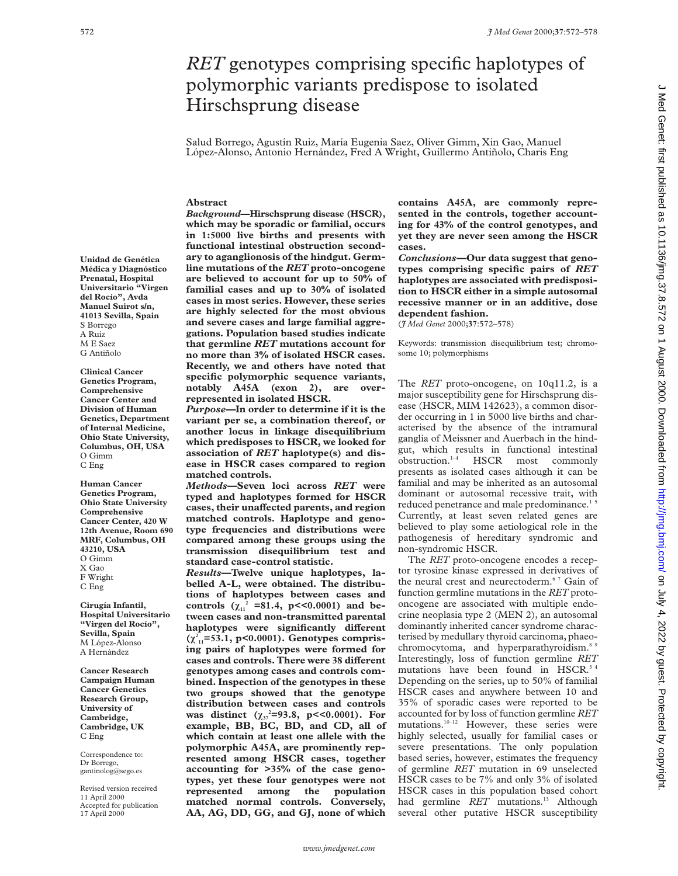# *RET* genotypes comprising specific haplotypes of polymorphic variants predispose to isolated Hirschsprung disease

Salud Borrego, Agustín Ruiz, María Eugenia Saez, Oliver Gimm, Xin Gao, Manuel López-Alonso, Antonio Hernández, Fred A Wright, Guillermo Antiñolo, Charis Eng

## **Abstract**

*Background***—Hirschsprung disease (HSCR), which may be sporadic or familial, occurs in 1:5000 live births and presents with functional intestinal obstruction secondary to aganglionosis of the hindgut. Germline mutations of the** *RET* **proto-oncogene are believed to account for up to 50% of familial cases and up to 30% of isolated cases in most series. However, these series are highly selected for the most obvious and severe cases and large familial aggregations. Population based studies indicate that germline** *RET* **mutations account for no more than 3% of isolated HSCR cases. Recently, we and others have noted that specific polymorphic sequence variants, notably A45A (exon 2), are overrepresented in isolated HSCR.**

*Purpose—***In order to determine if it is the variant per se, a combination thereof, or another locus in linkage disequilibrium which predisposes to HSCR, we looked for association of** *RET* **haplotype(s) and disease in HSCR cases compared to region matched controls.**

*Methods—***Seven loci across** *RET* **were typed and haplotypes formed for HSCR**  $cases, their unaffected parents, and region$ **matched controls. Haplotype and genotype frequencies and distributions were compared among these groups using the transmission disequilibrium test and standard case-control statistic.**

*Results***—Twelve unique haplotypes, labelled A-L, were obtained. The distributions of haplotypes between cases and** controls  $(\chi_{11}^2 = 81.4, \, p \leq 0.0001)$  and be**tween cases and non-transmitted parental** haplotypes were significantly different **(÷<sup>2</sup> 11=53.1, p<0.0001). Genotypes comprising pairs of haplotypes were formed for** cases and controls. There were 38 different **genotypes among cases and controls combined. Inspection of the genotypes in these two groups showed that the genotype distribution between cases and controls was distinct**  $(\chi_{37}^2 = 93.8, \, \text{p} < 0.0001)$ . For **example, BB, BC, BD, and CD, all of which contain at least one allele with the polymorphic A45A, are prominently represented among HSCR cases, together accounting for >35% of the case genotypes, yet these four genotypes were not represented among the population matched normal controls. Conversely, AA, AG, DD, GG, and GJ, none of which**

**contains A45A, are commonly represented in the controls, together accounting for 43% of the control genotypes, and yet they are never seen among the HSCR cases.**

*Conclusions—***Our data suggest that genotypes comprising specific pairs of** *RET* **haplotypes are associated with predisposition to HSCR either in a simple autosomal recessive manner or in an additive, dose dependent fashion.**

(*J Med Genet* 2000;**37**:572–578)

Keywords: transmission disequilibrium test; chromosome 10; polymorphisms

The *RET* proto-oncogene, on 10q11.2, is a major susceptibility gene for Hirschsprung disease (HSCR, MIM 142623), a common disorder occurring in 1 in 5000 live births and characterised by the absence of the intramural ganglia of Meissner and Auerbach in the hindgut, which results in functional intestinal  $obstruction.<sup>1-4</sup>$  HSCR most commonly presents as isolated cases although it can be familial and may be inherited as an autosomal dominant or autosomal recessive trait, with reduced penetrance and male predominance.<sup>15</sup> Currently, at least seven related genes are believed to play some aetiological role in the pathogenesis of hereditary syndromic and non-syndromic HSCR.

The *RET* proto-oncogene encodes a receptor tyrosine kinase expressed in derivatives of the neural crest and neurectoderm.<sup>67</sup> Gain of function germline mutations in the *RET* protooncogene are associated with multiple endocrine neoplasia type 2 (MEN 2), an autosomal dominantly inherited cancer syndrome characterised by medullary thyroid carcinoma, phaeochromocytoma, and hyperparathyroidism.<sup>89</sup> Interestingly, loss of function germline *RET* mutations have been found in HSCR.<sup>34</sup> Depending on the series, up to 50% of familial HSCR cases and anywhere between 10 and 35% of sporadic cases were reported to be accounted for by loss of function germline *RET* mutations.<sup>10-12</sup> However, these series were highly selected, usually for familial cases or severe presentations. The only population based series, however, estimates the frequency of germline *RET* mutation in 69 unselected HSCR cases to be 7% and only 3% of isolated HSCR cases in this population based cohort had germline *RET* mutations.<sup>13</sup> Although several other putative HSCR susceptibility

**Unidad de Genética Médica y Diagnóstico Prenatal, Hospital Universitario "Virgen del Rocío", Avda Manuel Suirot s/n, 41013 Sevilla, Spain** S Borrego A Ruiz M E Saez G Antiñolo

**Clinical Cancer Genetics Program, Comprehensive Cancer Center and Division of Human Genetics, Department of Internal Medicine, Ohio State University, Columbus, OH, USA** O Gimm C Eng

**Human Cancer Genetics Program, Ohio State University Comprehensive Cancer Center, 420 W 12th Avenue, Room 690 MRF, Columbus, OH 43210, USA** O Gimm X Gao F Wright C Eng

**Cirugía Infantil, Hospital Universitario "Virgen del Rocío", Sevilla, Spain** M López-Alonso A Hernández

**Cancer Research Campaign Human Cancer Genetics Research Group, University of Cambridge, Cambridge, UK** C Eng

Correspondence to: Dr Borrego, gantinolog@sego.es

Revised version received 11 April 2000 Accepted for publication 17 April 2000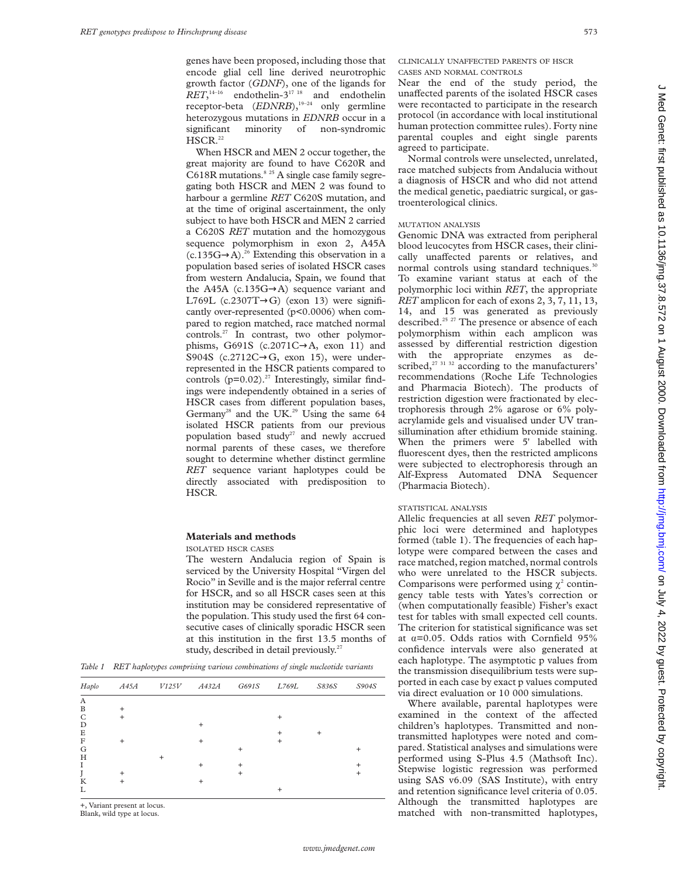genes have been proposed, including those that encode glial cell line derived neurotrophic growth factor (*GDNF*), one of the ligands for  $RET<sub>14–16</sub>$  endothelin-3<sup>17</sup> <sup>18</sup> and endothelin receptor-beta (*EDNRB*),<sup>19-24</sup> only germline heterozygous mutations in *EDNRB* occur in a significant minority of non-syndromic HSCR.<sup>22</sup>

When HSCR and MEN 2 occur together, the great majority are found to have C620R and C618R mutations.<sup>8 25</sup> A single case family segregating both HSCR and MEN 2 was found to harbour a germline *RET* C620S mutation, and at the time of original ascertainment, the only subject to have both HSCR and MEN 2 carried a C620S *RET* mutation and the homozygous sequence polymorphism in exon 2, A45A  $(c.135G \rightarrow A).^{26}$  Extending this observation in a population based series of isolated HSCR cases from western Andalucia, Spain, we found that the A45A (c.135G→A) sequence variant and L769L (c.2307T $\rightarrow$ G) (exon 13) were significantly over-represented (p<0.0006) when compared to region matched, race matched normal controls.27 In contrast, two other polymorphisms, G691S (c.2071C→A, exon 11) and S904S (c.2712C→G, exon 15), were underrepresented in the HSCR patients compared to controls  $(p=0.02)$ .<sup>27</sup> Interestingly, similar findings were independently obtained in a series of HSCR cases from different population bases, Germany<sup>28</sup> and the UK.<sup>29</sup> Using the same  $64$ isolated HSCR patients from our previous population based study<sup>27</sup> and newly accrued normal parents of these cases, we therefore sought to determine whether distinct germline *RET* sequence variant haplotypes could be directly associated with predisposition to HSCR.

# **Materials and methods**

ISOLATED HSCR CASES

The western Andalucia region of Spain is serviced by the University Hospital "Virgen del Rocio" in Seville and is the major referral centre for HSCR, and so all HSCR cases seen at this institution may be considered representative of the population. This study used the first 64 consecutive cases of clinically sporadic HSCR seen at this institution in the first 13.5 months of study, described in detail previously.<sup>27</sup>

*Table 1 RET haplotypes comprising various combinations of single nucleotide variants*

| Haplo  | A45A      | V125V |           | A432A G691S | L769L | S836S | S904S     |
|--------|-----------|-------|-----------|-------------|-------|-------|-----------|
| А      |           |       |           |             |       |       |           |
| B      | $^{+}$    |       |           |             |       |       |           |
| C      | $\ddot{}$ |       |           |             |       |       |           |
| D      |           |       | $+$       |             |       |       |           |
| Ε      |           |       |           |             |       |       |           |
| F      | $\ddot{}$ |       |           |             |       |       |           |
| G      |           |       |           | $\ddot{}$   |       |       | +         |
| Η      |           |       |           |             |       |       |           |
| I      |           |       | $\ddot{}$ | $\ddot{}$   |       |       | $\div$    |
|        | $\ddot{}$ |       |           | $\ddot{}$   |       |       | $\ddot{}$ |
| J<br>K | $^{+}$    |       | +         |             |       |       |           |
| L      |           |       |           |             |       |       |           |
|        |           |       |           |             |       |       |           |

+, Variant present at locus.

Blank, wild type at locus.

### CLINICALLY UNAFFECTED PARENTS OF HSCR CASES AND NORMAL CONTROLS

Near the end of the study period, the unaffected parents of the isolated HSCR cases were recontacted to participate in the research protocol (in accordance with local institutional human protection committee rules). Forty nine parental couples and eight single parents agreed to participate.

Normal controls were unselected, unrelated, race matched subjects from Andalucia without a diagnosis of HSCR and who did not attend the medical genetic, paediatric surgical, or gastroenterological clinics.

### MUTATION ANALYSIS

Genomic DNA was extracted from peripheral blood leucocytes from HSCR cases, their clinically unaffected parents or relatives, and normal controls using standard techniques.<sup>30</sup> To examine variant status at each of the polymorphic loci within *RET*, the appropriate *RET* amplicon for each of exons 2, 3, 7, 11, 13, 14, and 15 was generated as previously described.<sup>25</sup> <sup>27</sup> The presence or absence of each polymorphism within each amplicon was assessed by differential restriction digestion with the appropriate enzymes as dewith the appropriate enzymes as  $\alpha$  scribed,<sup>27 31 32</sup> according to the manufacturers' recommendations (Roche Life Technologies and Pharmacia Biotech). The products of restriction digestion were fractionated by electrophoresis through 2% agarose or 6% polyacrylamide gels and visualised under UV transillumination after ethidium bromide staining. When the primers were 5' labelled with fluorescent dyes, then the restricted amplicons were subjected to electrophoresis through an Alf-Express Automated DNA Sequencer (Pharmacia Biotech).

#### STATISTICAL ANALYSIS

Allelic frequencies at all seven *RET* polymorphic loci were determined and haplotypes formed (table 1). The frequencies of each haplotype were compared between the cases and race matched, region matched, normal controls who were unrelated to the HSCR subjects. Comparisons were performed using  $\chi^2$  contingency table tests with Yates's correction or (when computationally feasible) Fisher's exact test for tables with small expected cell counts. The criterion for statistical significance was set at  $\alpha$ =0.05. Odds ratios with Cornfield 95% confidence intervals were also generated at each haplotype. The asymptotic p values from the transmission disequilibrium tests were supported in each case by exact p values computed via direct evaluation or 10 000 simulations.

Where available, parental haplotypes were examined in the context of the affected children's haplotypes. Transmitted and nontransmitted haplotypes were noted and compared. Statistical analyses and simulations were performed using S-Plus 4.5 (Mathsoft Inc). Stepwise logistic regression was performed using SAS v6.09 (SAS Institute), with entry and retention significance level criteria of 0.05. Although the transmitted haplotypes are matched with non-transmitted haplotypes,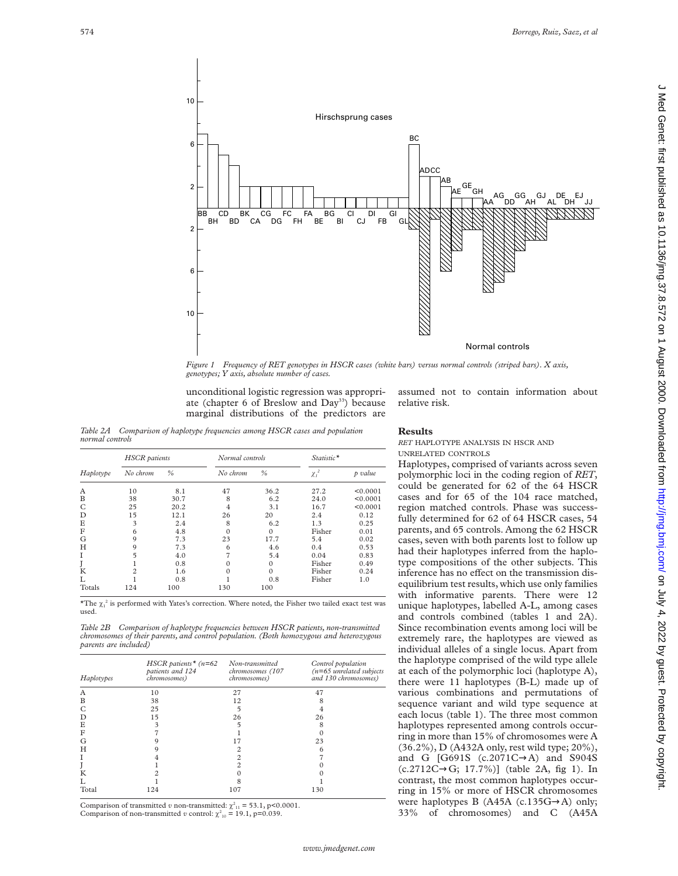

*Figure 1 Frequency of RET genotypes in HSCR cases (white bars) versus normal controls (striped bars). X axis, genotypes; Y axis, absolute number of cases.*

unconditional logistic regression was appropriate (chapter 6 of Breslow and  $Day^{33}$ ) because marginal distributions of the predictors are

*Table 2A Comparison of haplotype frequencies among HSCR cases and population normal controls*

relative risk.

**Results**

|           | <b>HSCR</b> patients |      | Normal controls |          | $Static*$  |          |  |
|-----------|----------------------|------|-----------------|----------|------------|----------|--|
| Haplotype | No chrom             | $\%$ | No chrom        | $\%$     | $\chi_1^2$ | p value  |  |
| A         | 10                   | 8.1  | 47              | 36.2     | 27.2       | < 0.0001 |  |
| B         | 38                   | 30.7 | 8               | 6.2      | 24.0       | < 0.0001 |  |
| C         | 25                   | 20.2 | 4               | 3.1      | 16.7       | < 0.0001 |  |
| D         | 15                   | 12.1 | 26              | 20       | 2.4        | 0.12     |  |
| Ε         | 3                    | 2.4  | 8               | 6.2      | 1.3        | 0.25     |  |
| F         | 6                    | 4.8  | 0               | $\Omega$ | Fisher     | 0.01     |  |
| G         | 9                    | 7.3  | 23              | 17.7     | 5.4        | 0.02     |  |
| H         | 9                    | 7.3  | 6               | 4.6      | 0.4        | 0.53     |  |
|           | 5                    | 4.0  | 7               | 5.4      | 0.04       | 0.83     |  |
| J         |                      | 0.8  |                 | $\Omega$ | Fisher     | 0.49     |  |
| K         | $\overline{c}$       | 1.6  |                 | $\Omega$ | Fisher     | 0.24     |  |
| L         |                      | 0.8  |                 | 0.8      | Fisher     | 1.0      |  |
| Totals    | 124                  | 100  | 130             | 100      |            |          |  |

\*The  $\chi_1^2$  is performed with Yates's correction. Where noted, the Fisher two tailed exact test was used.

*Table 2B Comparison of haplotype frequencies between HSCR patients, non-transmitted chromosomes of their parents, and control population. (Both homozygous and heterozygous parents are included)*

| Haplotypes | $HSCR$ patients* (n=62<br>patients and 124<br>chromosomes) | Non-transmitted<br>chromosomes (107<br>chromosomes) | Control population<br>$(n=65$ unrelated subjects<br>and 130 chromosomes) |
|------------|------------------------------------------------------------|-----------------------------------------------------|--------------------------------------------------------------------------|
| А          | 10                                                         | 27                                                  | 47                                                                       |
| B          | 38                                                         | 12                                                  | 8                                                                        |
| С          | 25                                                         | 5                                                   |                                                                          |
| D          | 15                                                         | 26                                                  | 26                                                                       |
| Ε          | 3                                                          | 5                                                   |                                                                          |
| F          |                                                            |                                                     |                                                                          |
| G          |                                                            |                                                     | 23                                                                       |
| H          |                                                            |                                                     |                                                                          |
|            |                                                            | $\overline{c}$                                      |                                                                          |
|            |                                                            |                                                     |                                                                          |
| K          |                                                            |                                                     |                                                                          |
| L          |                                                            |                                                     |                                                                          |
| Total      | 124                                                        | 107                                                 | 130                                                                      |

Comparison of transmitted *v* non-transmitted:  $\chi^2_{11} = 53.1$ , p<0.0001. Comparison of non-transmitted *v* control:  $\chi^2_{10} = 19.1$ , p=0.039.

UNRELATED CONTROLS Haplotypes, comprised of variants across seven polymorphic loci in the coding region of *RET*, could be generated for 62 of the 64 HSCR cases and for 65 of the 104 race matched, region matched controls. Phase was successfully determined for 62 of 64 HSCR cases, 54 parents, and 65 controls. Among the 62 HSCR cases, seven with both parents lost to follow up had their haplotypes inferred from the haplotype compositions of the other subjects. This inference has no effect on the transmission disequilibrium test results, which use only families with informative parents. There were 12 unique haplotypes, labelled A-L, among cases and controls combined (tables 1 and 2A). Since recombination events among loci will be extremely rare, the haplotypes are viewed as individual alleles of a single locus. Apart from the haplotype comprised of the wild type allele at each of the polymorphic loci (haplotype A), there were 11 haplotypes (B-L) made up of various combinations and permutations of sequence variant and wild type sequence at each locus (table 1). The three most common haplotypes represented among controls occurring in more than 15% of chromosomes were A (36.2%), D (A432A only, rest wild type; 20%), and G [G691S (c.2071C→A) and S904S (c.2712C→G; 17.7%)] (table 2A, fig 1). In contrast, the most common haplotypes occurring in 15% or more of HSCR chromosomes were haplotypes B (A45A (c.135G $\rightarrow$ A) only; 33% of chromosomes) and C (A45A

assumed not to contain information about

*RET* HAPLOTYPE ANALYSIS IN HSCR AND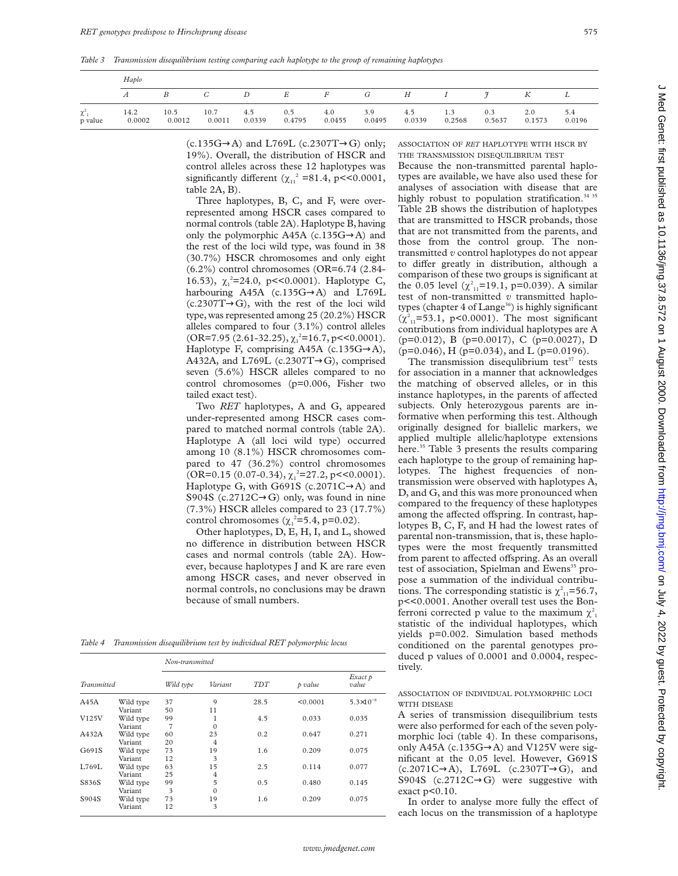*Table 3 Transmission disequilibrium testing comparing each haplotype to the group of remaining haplotypes*

|                         | Haplo          |                |                |               |               |               |               |               |               |               |               |               |
|-------------------------|----------------|----------------|----------------|---------------|---------------|---------------|---------------|---------------|---------------|---------------|---------------|---------------|
|                         |                |                |                | D             | Е             | F             | G             | H             |               |               | K             | ≖             |
| $\chi^2_{1}$<br>p value | 14.2<br>0.0002 | 10.5<br>0.0012 | 10.7<br>0.0011 | 4.5<br>0.0339 | 0.5<br>0.4795 | 4.0<br>0.0455 | 3.9<br>0.0495 | 4.5<br>0.0339 | 1.3<br>0.2568 | 0.3<br>0.5637 | 2.0<br>0.1573 | 5.4<br>0.0196 |

 $(c.135G \rightarrow A)$  and L769L  $(c.2307T \rightarrow G)$  only; 19%). Overall, the distribution of HSCR and control alleles across these 12 haplotypes was significantly different  $(\chi_{11}^2 = 81.4, \, p < 0.0001,$ table 2A, B).

Three haplotypes, B, C, and F, were overrepresented among HSCR cases compared to normal controls (table 2A). Haplotype B, having only the polymorphic A45A (c.135G $\rightarrow$ A) and the rest of the loci wild type, was found in 38 (30.7%) HSCR chromosomes and only eight (6.2%) control chromosomes (OR=6.74 (2.84- 16.53),  $\chi_1^2 = 24.0$ , p<<0.0001). Haplotype C, harbouring A45A (c.135G→A) and L769L  $(c.2307T\rightarrow G)$ , with the rest of the loci wild type, was represented among 25 (20.2%) HSCR alleles compared to four (3.1%) control alleles  $(OR=7.95 (2.61-32.25), \chi_1^2=16.7, p<<0.0001).$ Haplotype F, comprising A45A (c.135G $\rightarrow$ A), A432A, and L769L (c.2307T $\rightarrow$ G), comprised seven (5.6%) HSCR alleles compared to no control chromosomes (p=0.006, Fisher two tailed exact test).

Two *RET* haplotypes, A and G, appeared under-represented among HSCR cases compared to matched normal controls (table 2A). Haplotype A (all loci wild type) occurred among 10 (8.1%) HSCR chromosomes compared to 47 (36.2%) control chromosomes  $(OR=0.15 (0.07-0.34), \chi_1^2=27.2, p<<0.0001).$ Haplotype G, with G691S (c.2071C→A) and S904S (c.2712C $\rightarrow$ G) only, was found in nine (7.3%) HSCR alleles compared to 23 (17.7%) control chromosomes  $(\chi_1^2 = 5.4, p = 0.02)$ .

Other haplotypes, D, E, H, I, and L, showed no difference in distribution between HSCR cases and normal controls (table 2A). However, because haplotypes J and K are rare even among HSCR cases, and never observed in normal controls, no conclusions may be drawn because of small numbers.

*Table 4 Transmission disequilibrium test by individual RET polymorphic locus*

|                    |           | Non-transmitted |                |            |          |                      |
|--------------------|-----------|-----------------|----------------|------------|----------|----------------------|
| <b>Transmitted</b> |           | Wild type       | Variant        | <b>TDT</b> | p value  | Exact p<br>value     |
| A45A               | Wild type | 37              | 9              | 28.5       | < 0.0001 | $5.3 \times 10^{-8}$ |
|                    | Variant   | 50              | 11             |            |          |                      |
| V125V              | Wild type | 99              |                | 4.5        | 0.033    | 0.035                |
|                    | Variant   | $\overline{7}$  | $\Omega$       |            |          |                      |
| A432A              | Wild type | 60              | 23             | 0.2        | 0.647    | 0.271                |
|                    | Variant   | 20              | $\overline{4}$ |            |          |                      |
| G691S              | Wild type | 73              | 19             | 1.6        | 0.209    | 0.075                |
|                    | Variant   | 12              | 3              |            |          |                      |
| I.769L             | Wild type | 63              | 15             | 2.5        | 0.114    | 0.077                |
|                    | Variant   | 25              | 4              |            |          |                      |
| S836S              | Wild type | 99              | 5              | 0.5        | 0.480    | 0.145                |
|                    | Variant   | 3               | $\Omega$       |            |          |                      |
| S904S              | Wild type | 73              | 19             | 1.6        | 0.209    | 0.075                |
|                    | Variant   | 12              | 3              |            |          |                      |

ASSOCIATION OF *RET* HAPLOTYPE WITH HSCR BY THE TRANSMISSION DISEQUILIBRIUM TEST

Because the non-transmitted parental haplotypes are available, we have also used these for analyses of association with disease that are highly robust to population stratification.<sup>34 35</sup> Table 2B shows the distribution of haplotypes that are transmitted to HSCR probands, those that are not transmitted from the parents, and those from the control group. The nontransmitted *v* control haplotypes do not appear to differ greatly in distribution, although a comparison of these two groups is significant at the 0.05 level  $(\chi^2_{11} = 19.1, p=0.039)$ . A similar test of non-transmitted *v* transmitted haplotypes (chapter  $4$  of Lange<sup>36</sup>) is highly significant  $(\chi^2_{11} = 53.1, \, p < 0.0001)$ . The most significant contributions from individual haplotypes are A (p=0.012), B (p=0.0017), C (p=0.0027), D (p=0.046), H (p=0.034), and L (p=0.0196).

The transmission disequlibrium test<sup>37</sup> tests for association in a manner that acknowledges the matching of observed alleles, or in this instance haplotypes, in the parents of affected subjects. Only heterozygous parents are informative when performing this test. Although originally designed for biallelic markers, we applied multiple allelic/haplotype extensions here.<sup>35</sup> Table 3 presents the results comparing each haplotype to the group of remaining haplotypes. The highest frequencies of nontransmission were observed with haplotypes A, D, and G, and this was more pronounced when compared to the frequency of these haplotypes among the affected offspring. In contrast, haplotypes B, C, F, and H had the lowest rates of parental non-transmission, that is, these haplotypes were the most frequently transmitted from parent to affected offspring. As an overall test of association, Spielman and Ewens<sup>35</sup> propose a summation of the individual contributions. The corresponding statistic is  $\chi^2_{11} = 56.7$ , p<<0.0001. Another overall test uses the Bonferroni corrected p value to the maximum  $\chi^2$ <sub>1</sub> statistic of the individual haplotypes, which yields p=0.002. Simulation based methods conditioned on the parental genotypes produced p values of 0.0001 and 0.0004, respectively.

ASSOCIATION OF INDIVIDUAL POLYMORPHIC LOCI WITH DISEASE

A series of transmission disequilibrium tests were also performed for each of the seven polymorphic loci (table 4). In these comparisons, only A45A (c.135G→A) and V125V were significant at the 0.05 level. However, G691S  $(c.2071C \rightarrow A),$  L769L  $(c.2307T \rightarrow G),$  and S904S (c.2712C $\rightarrow$ G) were suggestive with exact p<0.10.

In order to analyse more fully the effect of each locus on the transmission of a haplotype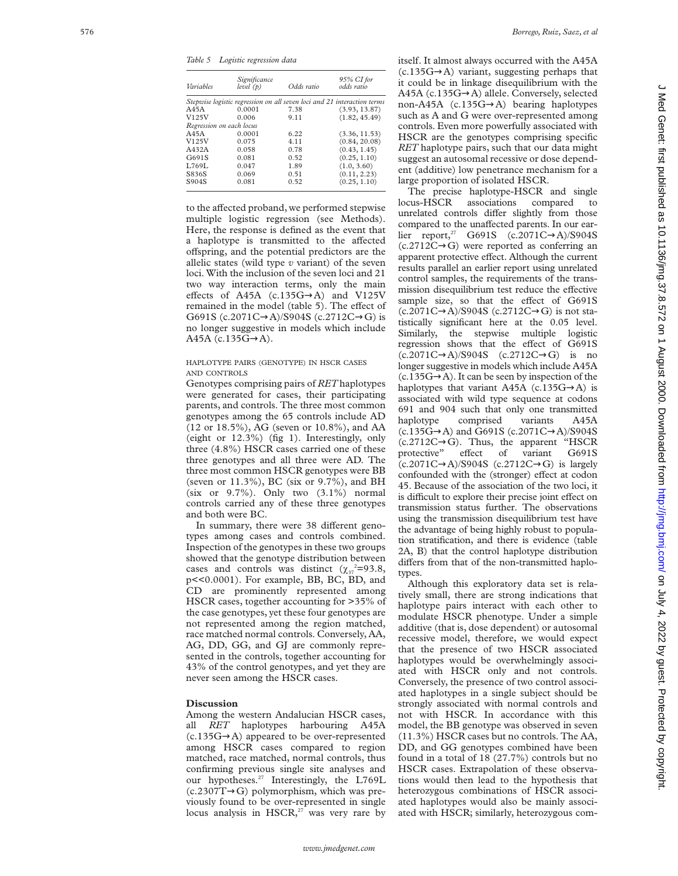|                          | Significance |            | 95% CI for                                                              |
|--------------------------|--------------|------------|-------------------------------------------------------------------------|
| <b>Variables</b>         | level(p)     | Odds ratio | odds ratio                                                              |
|                          |              |            | Stepwise logistic regression on all seven loci and 21 interaction terms |
| A45A                     | 0.0001       | 7.38       | (3.93, 13.87)                                                           |
| V125V                    | 0.006        | 9.11       | (1.82, 45.49)                                                           |
| Regression on each locus |              |            |                                                                         |
| A45A                     | 0.0001       | 6.22       | (3.36, 11.53)                                                           |
| V125V                    | 0.075        | 4.11       | (0.84, 20.08)                                                           |
| A432A                    | 0.058        | 0.78       | (0.43, 1.45)                                                            |
| G691S                    | 0.081        | 0.52       | (0.25, 1.10)                                                            |
| I.769I.                  | 0.047        | 1.89       | (1.0, 3.60)                                                             |
| S836S                    | 0.069        | 0.51       | (0.11, 2.23)                                                            |
| S904S                    | 0.081        | 0.52       | (0.25, 1.10)                                                            |

to the affected proband, we performed stepwise multiple logistic regression (see Methods). Here, the response is defined as the event that a haplotype is transmitted to the affected offspring, and the potential predictors are the allelic states (wild type *v* variant) of the seven loci. With the inclusion of the seven loci and 21 two way interaction terms, only the main effects of A45A (c.135G $\rightarrow$ A) and V125V remained in the model (table 5). The effect of G691S (c.2071C $\rightarrow$ A)/S904S (c.2712C $\rightarrow$ G) is no longer suggestive in models which include A45A (c.135G $\rightarrow$ A).

#### HAPLOTYPE PAIRS (GENOTYPE ) IN HSCR CASES AND CONTROLS

Genotypes comprising pairs of *RET* haplotypes were generated for cases, their participating parents, and controls. The three most common genotypes among the 65 controls include AD (12 or 18.5%), AG (seven or 10.8%), and AA (eight or 12.3%) (fig 1). Interestingly, only three (4.8%) HSCR cases carried one of these three genotypes and all three were AD. The three most common HSCR genotypes were BB (seven or 11.3%), BC (six or 9.7%), and BH (six or 9.7%). Only two (3.1%) normal controls carried any of these three genotypes and both were BC.

In summary, there were 38 different genotypes among cases and controls combined. Inspection of the genotypes in these two groups showed that the genotype distribution between cases and controls was distinct  $(\chi_{37}^2=93.8,$ p<<0.0001). For example, BB, BC, BD, and CD are prominently represented among HSCR cases, together accounting for >35% of the case genotypes, yet these four genotypes are not represented among the region matched, race matched normal controls. Conversely, AA, AG, DD, GG, and GJ are commonly represented in the controls, together accounting for 43% of the control genotypes, and yet they are never seen among the HSCR cases.

### **Discussion**

Among the western Andalucian HSCR cases, all *RET* haplotypes harbouring A45A  $(c.135G \rightarrow A)$  appeared to be over-represented among HSCR cases compared to region matched, race matched, normal controls, thus confirming previous single site analyses and our hypotheses.<sup>27</sup> Interestingly, the L769L  $(c.2307T \rightarrow G)$  polymorphism, which was previously found to be over-represented in single locus analysis in  $HSCR<sub>27</sub><sup>27</sup>$  was very rare by itself. It almost always occurred with the A45A (c.135G →A) variant, suggesting perhaps that it could be in linkage disequilibrium with the A45A (c.135G →A) allele. Conversely, selected non-A45A (c.135G→A) bearing haplotypes such as A and G were over-represented among controls. Even more powerfully associated with HSCR are the genotypes comprising specific *RET* haplotype pairs, such that our data might suggest an autosomal recessive or dose dependent (additive) low penetrance mechanism for a large proportion of isolated HSCR.

The precise haplotype-HSCR and single locus-HSCR associations compared to unrelated controls differ slightly from those compared to the unaffected parents. In our earlier report,<sup>27</sup> G691S (c.2071C→A)/S904S  $(c.2712C \rightarrow G)$  were reported as conferring an apparent protective effect. Although the current results parallel an earlier report using unrelated control samples, the requirements of the transmission disequilibrium test reduce the effective sample size, so that the effect of G691S  $(c.2071C \rightarrow A)/S904S$   $(c.2712C \rightarrow G)$  is not statistically significant here at the 0.05 level. Similarly, the stepwise multiple logistic regression shows that the effect of G691S  $(c.2071C \rightarrow A)/S904S$   $(c.2712C \rightarrow G)$  is no longer suggestive in models which include A45A  $(c.135G \rightarrow A)$ . It can be seen by inspection of the haplotypes that variant  $A45A$  (c.135G $\rightarrow$ A) is associated with wild type sequence at codons 691 and 904 such that only one transmitted haplotype comprised variants A45A (c.135G →A) and G691S (c.2071C →A)/S904S  $(c.2712C \rightarrow G)$ . Thus, the apparent "HSCR protective" effect of variant G691S  $(c.2071C \rightarrow A)/S904S$   $(c.2712C \rightarrow G)$  is largely confounded with the (stronger) effect at codon 45. Because of the association of the two loci, it is difficult to explore their precise joint effect on transmission status further. The observations using the transmission disequilibrium test have the advantage of being highly robust to population stratification, and there is evidence (table 2A, B) that the control haplotype distribution differs from that of the non-transmitted haplotypes.

Although this exploratory data set is relatively small, there are strong indications that haplotype pairs interact with each other to modulate HSCR phenotype. Under a simple additive (that is, dose dependent) or autosomal recessive model, therefore, we would expect that the presence of two HSCR associated haplotypes would be overwhelmingly associated with HSCR only and not controls. Conversely, the presence of two control associated haplotypes in a single subject should be strongly associated with normal controls and not with HSCR. In accordance with this model, the BB genotype was observed in seven (11.3%) HSCR cases but no controls. The AA, DD, and GG genotypes combined have been found in a total of 18 (27.7%) controls but no HSCR cases. Extrapolation of these observations would then lead to the hypothesis that heterozygous combinations of HSCR associated haplotypes would also be mainly associated with HSCR; similarly, heterozygous com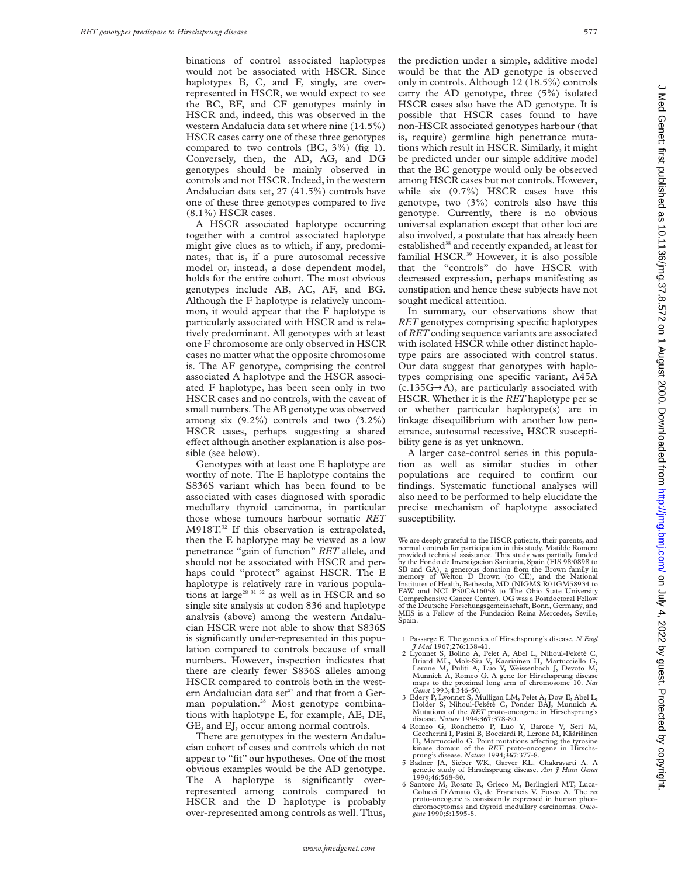binations of control associated haplotypes would not be associated with HSCR. Since haplotypes B, C, and F, singly, are overrepresented in HSCR, we would expect to see the BC, BF, and CF genotypes mainly in HSCR and, indeed, this was observed in the western Andalucia data set where nine (14.5%) HSCR cases carry one of these three genotypes compared to two controls (BC, 3%) (fig 1). Conversely, then, the AD, AG, and DG genotypes should be mainly observed in controls and not HSCR. Indeed, in the western Andalucian data set, 27 (41.5%) controls have one of these three genotypes compared to five (8.1%) HSCR cases.

A HSCR associated haplotype occurring together with a control associated haplotype might give clues as to which, if any, predominates, that is, if a pure autosomal recessive model or, instead, a dose dependent model, holds for the entire cohort. The most obvious genotypes include AB, AC, AF, and BG. Although the F haplotype is relatively uncommon, it would appear that the F haplotype is particularly associated with HSCR and is relatively predominant. All genotypes with at least one F chromosome are only observed in HSCR cases no matter what the opposite chromosome is. The AF genotype, comprising the control associated A haplotype and the HSCR associated F haplotype, has been seen only in two HSCR cases and no controls, with the caveat of small numbers. The AB genotype was observed among six (9.2%) controls and two (3.2%) HSCR cases, perhaps suggesting a shared effect although another explanation is also possible (see below).

Genotypes with at least one E haplotype are worthy of note. The E haplotype contains the S836S variant which has been found to be associated with cases diagnosed with sporadic medullary thyroid carcinoma, in particular those whose tumours harbour somatic *RET* M918T.<sup>32</sup> If this observation is extrapolated, then the E haplotype may be viewed as a low penetrance "gain of function" *RET* allele, and should not be associated with HSCR and perhaps could "protect" against HSCR. The E haplotype is relatively rare in various populations at large<sup>28 31 32</sup> as well as in HSCR and so single site analysis at codon 836 and haplotype analysis (above) among the western Andalucian HSCR were not able to show that S836S is significantly under-represented in this population compared to controls because of small numbers. However, inspection indicates that there are clearly fewer S836S alleles among HSCR compared to controls both in the western Andalucian data set<sup>27</sup> and that from a German population.<sup>28</sup> Most genotype combinations with haplotype E, for example, AE, DE, GE, and EJ, occur among normal controls.

There are genotypes in the western Andalucian cohort of cases and controls which do not appear to "fit" our hypotheses. One of the most obvious examples would be the AD genotype. The A haplotype is significantly overrepresented among controls compared to HSCR and the D haplotype is probably over-represented among controls as well. Thus, the prediction under a simple, additive model would be that the AD genotype is observed only in controls. Although 12 (18.5%) controls carry the AD genotype, three (5%) isolated HSCR cases also have the AD genotype. It is possible that HSCR cases found to have non-HSCR associated genotypes harbour (that is, require) germline high penetrance mutations which result in HSCR. Similarly, it might be predicted under our simple additive model that the BC genotype would only be observed among HSCR cases but not controls. However, while six (9.7%) HSCR cases have this genotype, two (3%) controls also have this genotype. Currently, there is no obvious universal explanation except that other loci are also involved, a postulate that has already been established<sup>38</sup> and recently expanded, at least for familial HSCR.<sup>39</sup> However, it is also possible that the "controls" do have HSCR with decreased expression, perhaps manifesting as constipation and hence these subjects have not sought medical attention.

In summary, our observations show that *RET* genotypes comprising specific haplotypes of *RET* coding sequence variants are associated with isolated HSCR while other distinct haplotype pairs are associated with control status. Our data suggest that genotypes with haplotypes comprising one specific variant, A45A (c.135G→A), are particularly associated with HSCR. Whether it is the *RET* haplotype per se or whether particular haplotype(s) are in linkage disequilibrium with another low penetrance, autosomal recessive, HSCR susceptibility gene is as yet unknown.

A larger case-control series in this population as well as similar studies in other populations are required to confirm our findings. Systematic functional analyses will also need to be performed to help elucidate the precise mechanism of haplotype associated susceptibility.

We are deeply grateful to the HSCR patients, their parents, and normal controls for participation in this study. Matilde Romero provided technical assistance. This study was partially funded by the Fondo de Investigacion Sanitaria, Spain (FIS 98/0898 to SB and GA), a generous donation from the Brown family in memory of Welton D Brown (to CE), and the National Institutes of Health, Bethesda, MD (NIGMS R01GM58934 to FAW and NCI P30CA16058 to The Ohio State University Comprehensive Cancer Center). OG was a Postdoctoral Fellow of the Deutsche Forschungsgemeinschaft, Bonn, Germany, and MES is a Fellow of the Fundación Reina Mercedes, Seville, Spain.

- 1 Passarge E. The genetics of Hirschsprung's disease. *N Engl*
- *J Med* 1967;**276**:138-41. 2 Lyonnet S, Bolino A, Pelet A, Abel L, Nihoul-Fekété C, Briard ML, Mok-Siu V, Kaariainen H, Martucciello G, Lerone M, Puliti A, Luo Y, Weissenbach J, Devoto M, Munnich A, Romeo G. A gene for Hirschsprung disease maps to the proximal long arm of chromosome 10. *Nat Genet* 1993;**4**:346-50.
- 3 Edery P, Lyonnet S, Mulligan LM, Pelet A, Dow E, Abel L, Holder S, Nihoul-Fekété C, Ponder BAJ, Munnich A. Mutations of the *RET* proto-oncogene in Hirschsprung's disease. *Nature* 1994;**367**:378-80.
- 4 Romeo G, Ronchetto P, Luo Y, Barone V, Seri M, Ceccherini I, Pasini B, Bocciardi R, Lerone M, Kääriäinen H, Martucciello G. Point mutations affecting the tyrosine<br>kinase domain of the *RET* proto-oncogene in Hirschs-
- prung's disease. *Nature* 1994;**367**:377-8. 5 Badner JA, Sieber WK, Garver KL, Chakravarti A. A genetic study of Hirschsprung disease. *Am J Hum Genet*
- Santoro M, Rosato R, Grieco M, Berlingieri MT, Luca-Colucci D'Amato G, de Franciscis V, Fusco A. The *ret* proto-oncogene is consistently expressed in human pheochromocytomas and thyroid medullary carcinomas. *Onco- gene* 1990;**5**:1595-8.